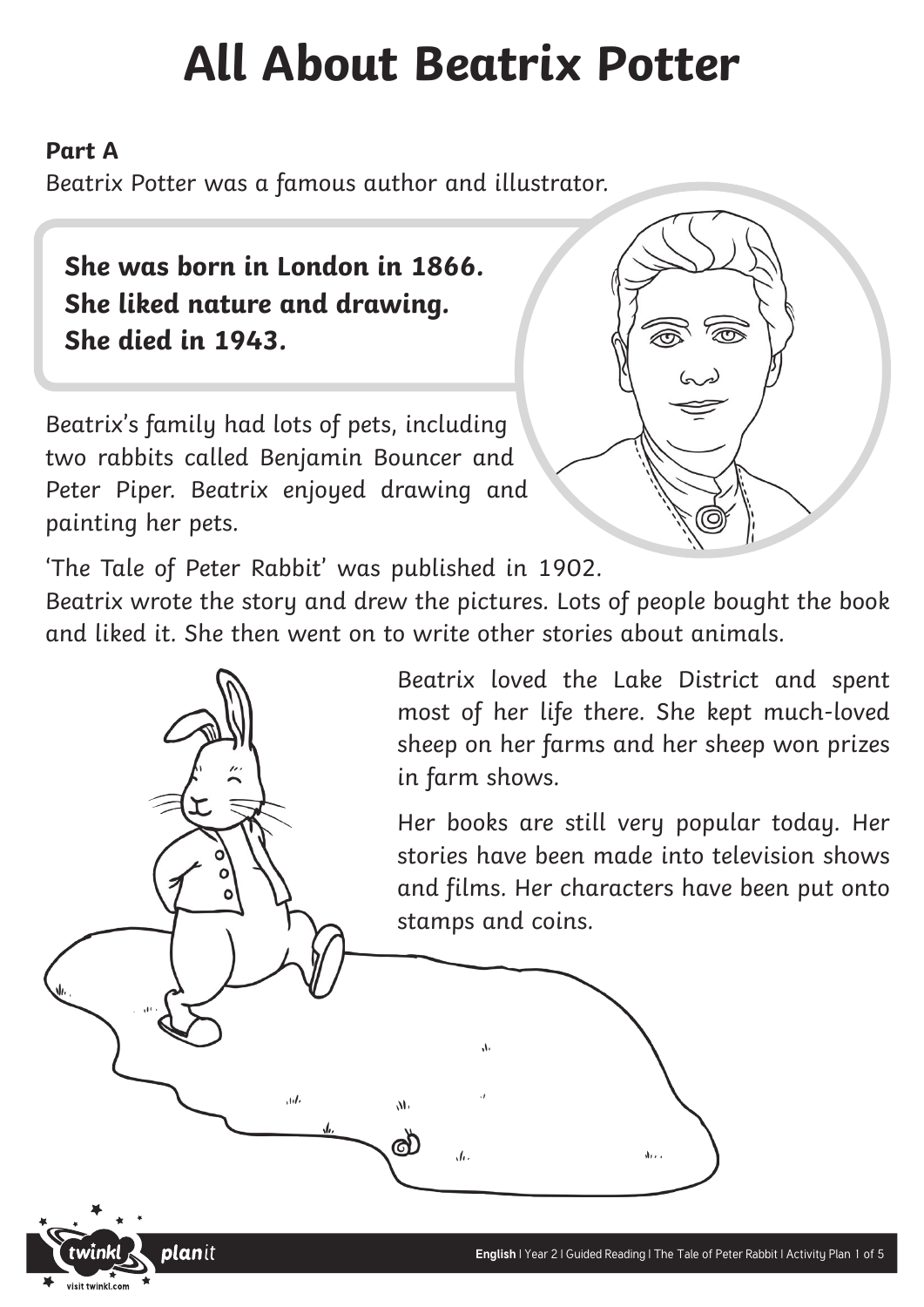### **All About Beatrix Potter**

#### **Part A**

Beatrix Potter was a famous author and illustrator.

**She was born in London in 1866. She liked nature and drawing. She died in 1943.**

Beatrix's family had lots of pets, including two rabbits called Benjamin Bouncer and Peter Piper. Beatrix enjoyed drawing and painting her pets.

 $\overline{\mathcal{M}}$ 

**plan**it



'The Tale of Peter Rabbit' was published in 1902.

Beatrix wrote the story and drew the pictures. Lots of people bought the book and liked it. She then went on to write other stories about animals.

 $\Lambda$ 

 $\sqrt{a}$ .

 $M<sub>1</sub>$ 

൴

Beatrix loved the Lake District and spent most of her life there. She kept much-loved sheep on her farms and her sheep won prizes in farm shows.

Her books are still very popular today. Her stories have been made into television shows and films. Her characters have been put onto stamps and coins.

 $\mathcal{N}$ .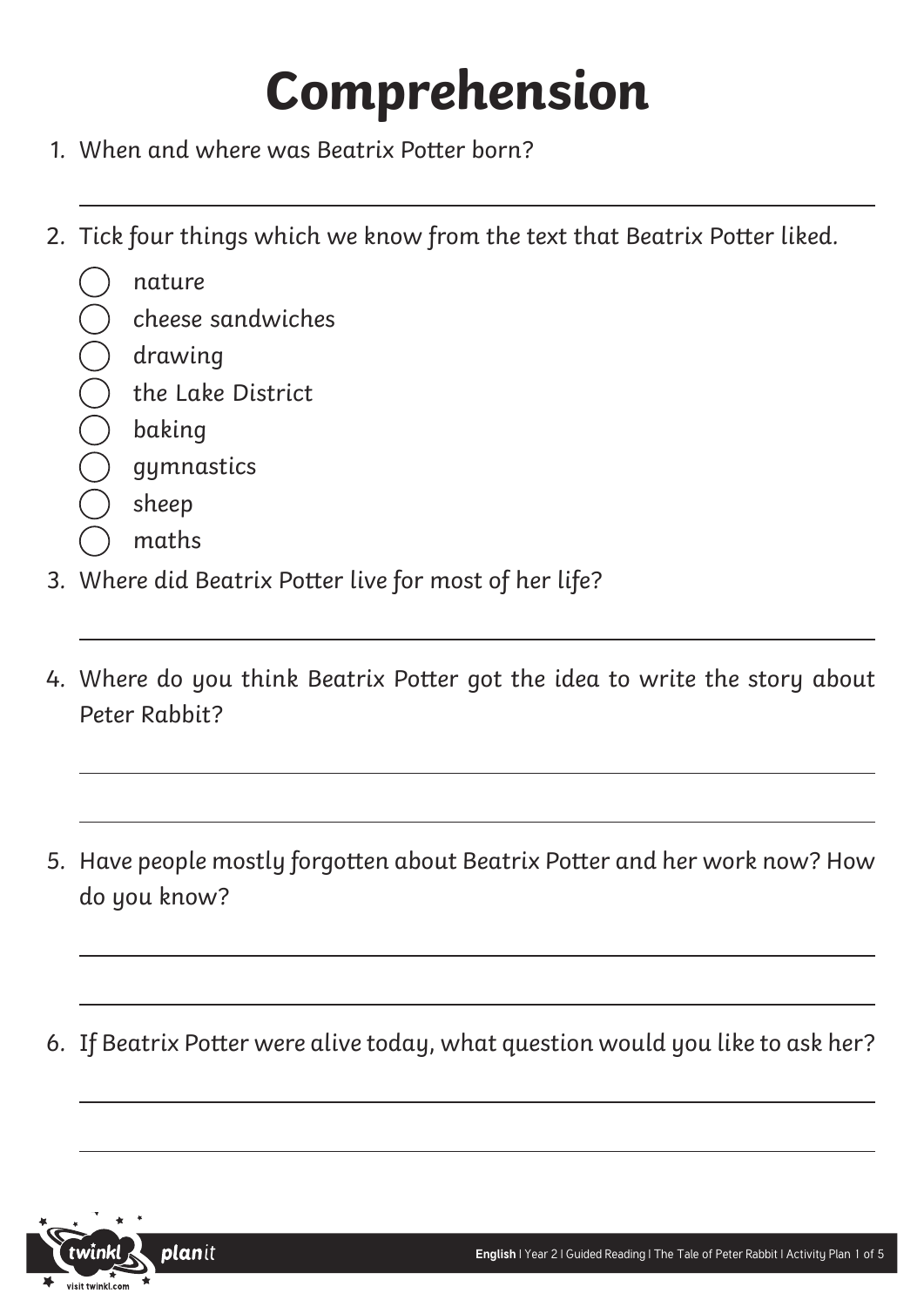# **Comprehension**

- 1. When and where was Beatrix Potter born?
- 2. Tick four things which we know from the text that Beatrix Potter liked.
	- nature
	- cheese sandwiches
	- drawing
	- the Lake District
	- baking
	- gymnastics
	- sheep
	- maths
- 3. Where did Beatrix Potter live for most of her life?
- 4. Where do you think Beatrix Potter got the idea to write the story about Peter Rabbit?
- 5. Have people mostly forgotten about Beatrix Potter and her work now? How do you know?
- 6. If Beatrix Potter were alive today, what question would you like to ask her?

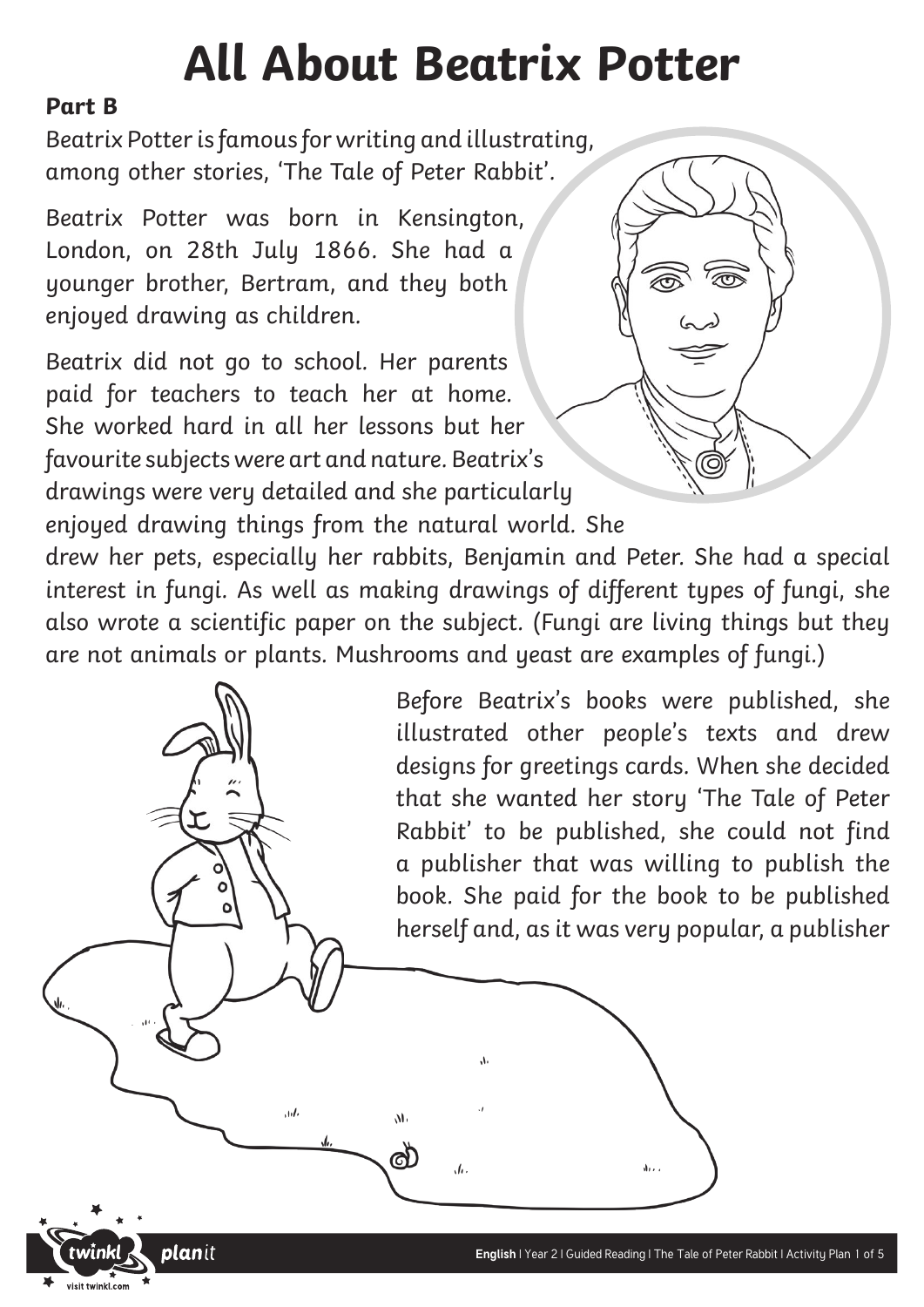### **All About Beatrix Potter**

#### **Part B**

Beatrix Potter is famous for writing and illustrating, among other stories, 'The Tale of Peter Rabbit'.

Beatrix Potter was born in Kensington, London, on 28th July 1866. She had a younger brother, Bertram, and they both enjoyed drawing as children.

Beatrix did not go to school. Her parents paid for teachers to teach her at home. She worked hard in all her lessons but her favourite subjects were art and nature. Beatrix's drawings were very detailed and she particularly enjoyed drawing things from the natural world. She

 $\overline{a}$ 

**plan**it

drew her pets, especially her rabbits, Benjamin and Peter. She had a special interest in fungi. As well as making drawings of different types of fungi, she also wrote a scientific paper on the subject. (Fungi are living things but they are not animals or plants. Mushrooms and yeast are examples of fungi.)

 $\Lambda$ 

 $\overline{u}$ 

 $\overline{M}$ 

ര്

Before Beatrix's books were published, she illustrated other people's texts and drew designs for greetings cards. When she decided that she wanted her story 'The Tale of Peter Rabbit' to be published, she could not find a publisher that was willing to publish the book. She paid for the book to be published herself and, as it was very popular, a publisher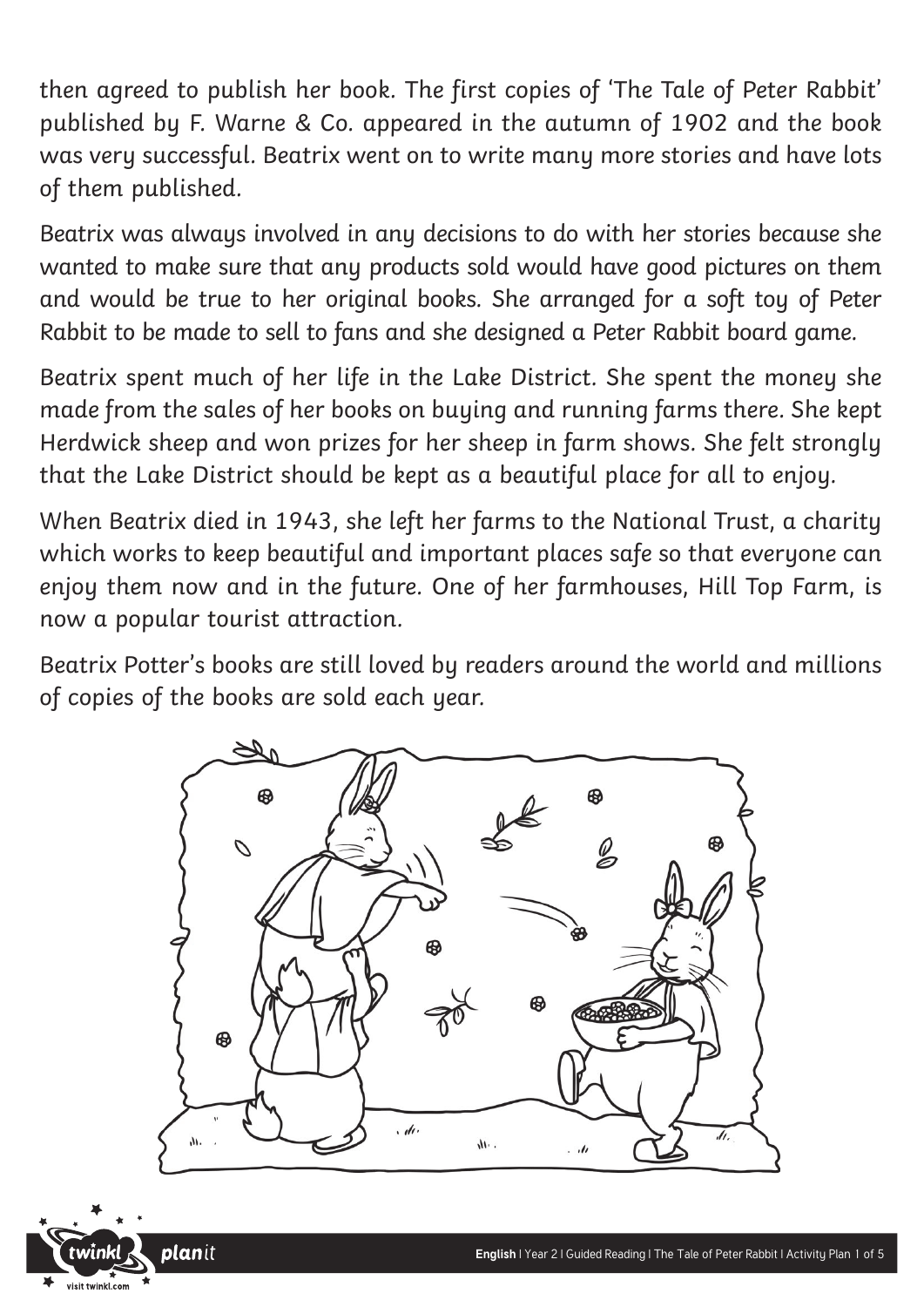then agreed to publish her book. The first copies of 'The Tale of Peter Rabbit' published by F. Warne & Co. appeared in the autumn of 1902 and the book was very successful. Beatrix went on to write many more stories and have lots of them published.

Beatrix was always involved in any decisions to do with her stories because she wanted to make sure that any products sold would have good pictures on them and would be true to her original books. She arranged for a soft toy of Peter Rabbit to be made to sell to fans and she designed a Peter Rabbit board game.

Beatrix spent much of her life in the Lake District. She spent the money she made from the sales of her books on buying and running farms there. She kept Herdwick sheep and won prizes for her sheep in farm shows. She felt strongly that the Lake District should be kept as a beautiful place for all to enjoy.

When Beatrix died in 1943, she left her farms to the National Trust, a charity which works to keep beautiful and important places safe so that everyone can enjoy them now and in the future. One of her farmhouses, Hill Top Farm, is now a popular tourist attraction.

Beatrix Potter's books are still loved by readers around the world and millions of copies of the books are sold each year.



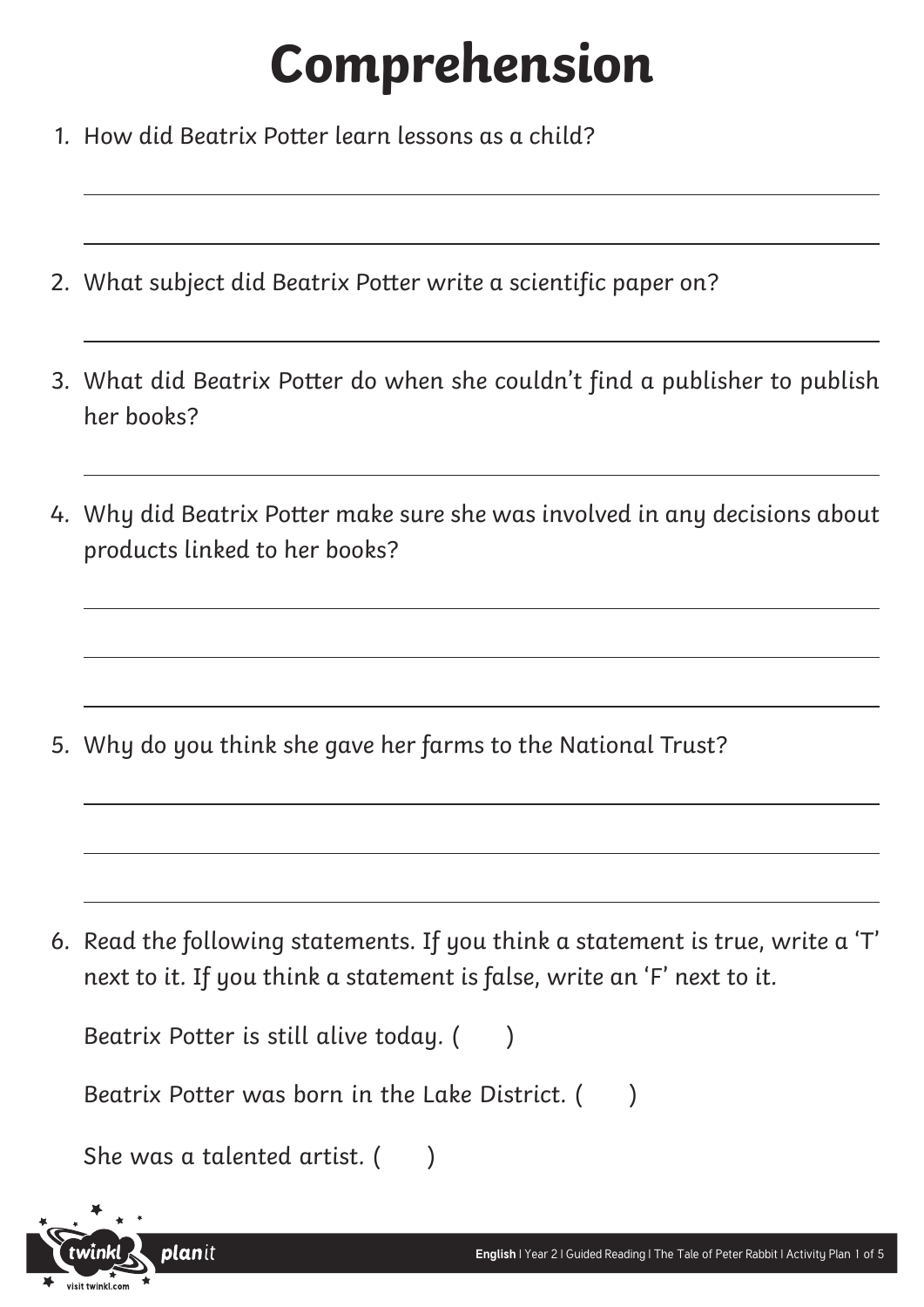## **Comprehension**

- 1. How did Beatrix Potter learn lessons as a child?
- 2. What subject did Beatrix Potter write a scientific paper on?
- 3. What did Beatrix Potter do when she couldn't find a publisher to publish her books?
- 4. Why did Beatrix Potter make sure she was involved in any decisions about products linked to her books?

5. Why do you think she gave her farms to the National Trust?

6. Read the following statements. If you think a statement is true, write a 'T' next to it. If you think a statement is false, write an 'F' next to it.



**plan**it

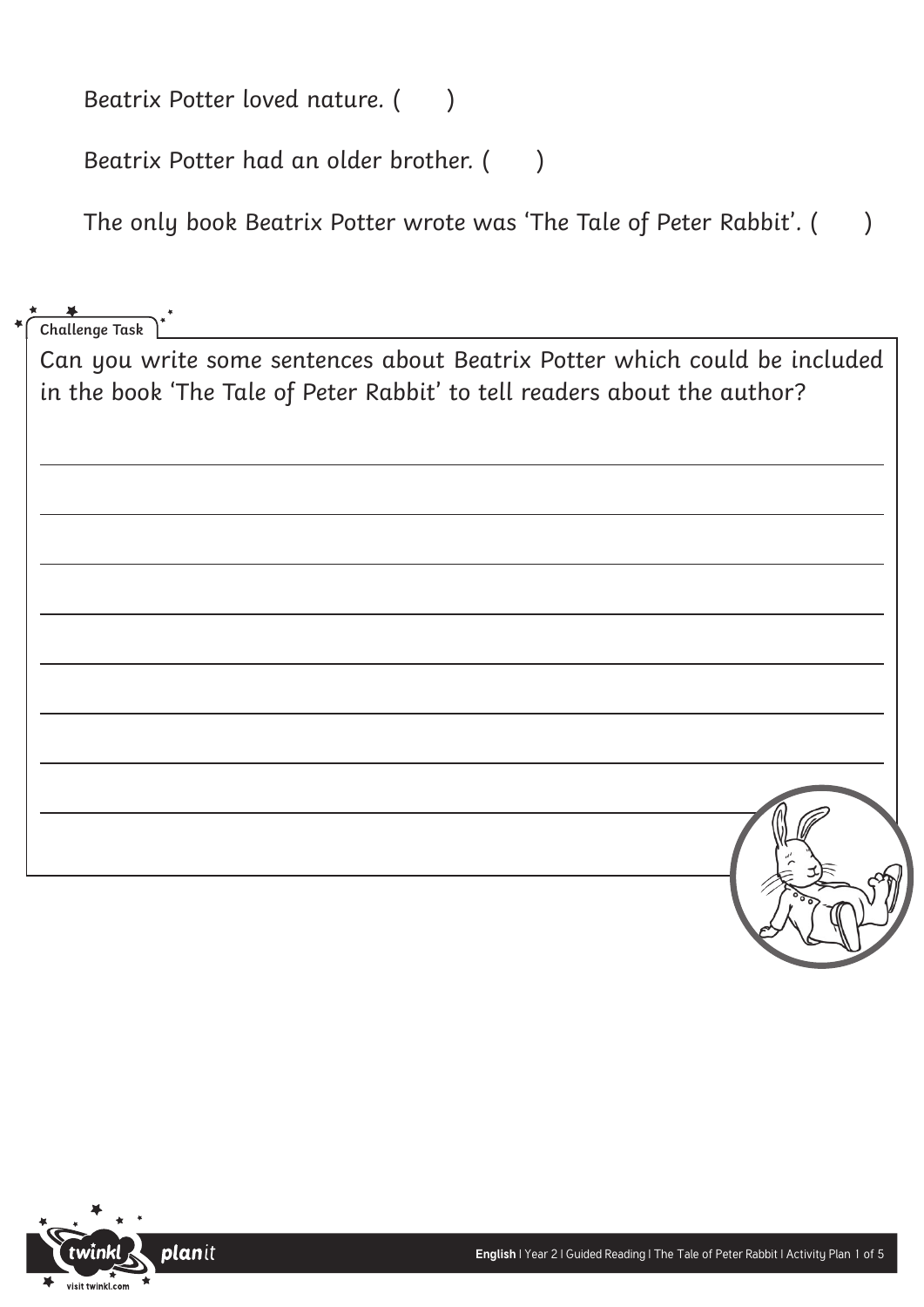Beatrix Potter loved nature. ()

Beatrix Potter had an older brother. ()

The only book Beatrix Potter wrote was 'The Tale of Peter Rabbit'. ( )

**Challenge Task**

Can you write some sentences about Beatrix Potter which could be included in the book 'The Tale of Peter Rabbit' to tell readers about the author?

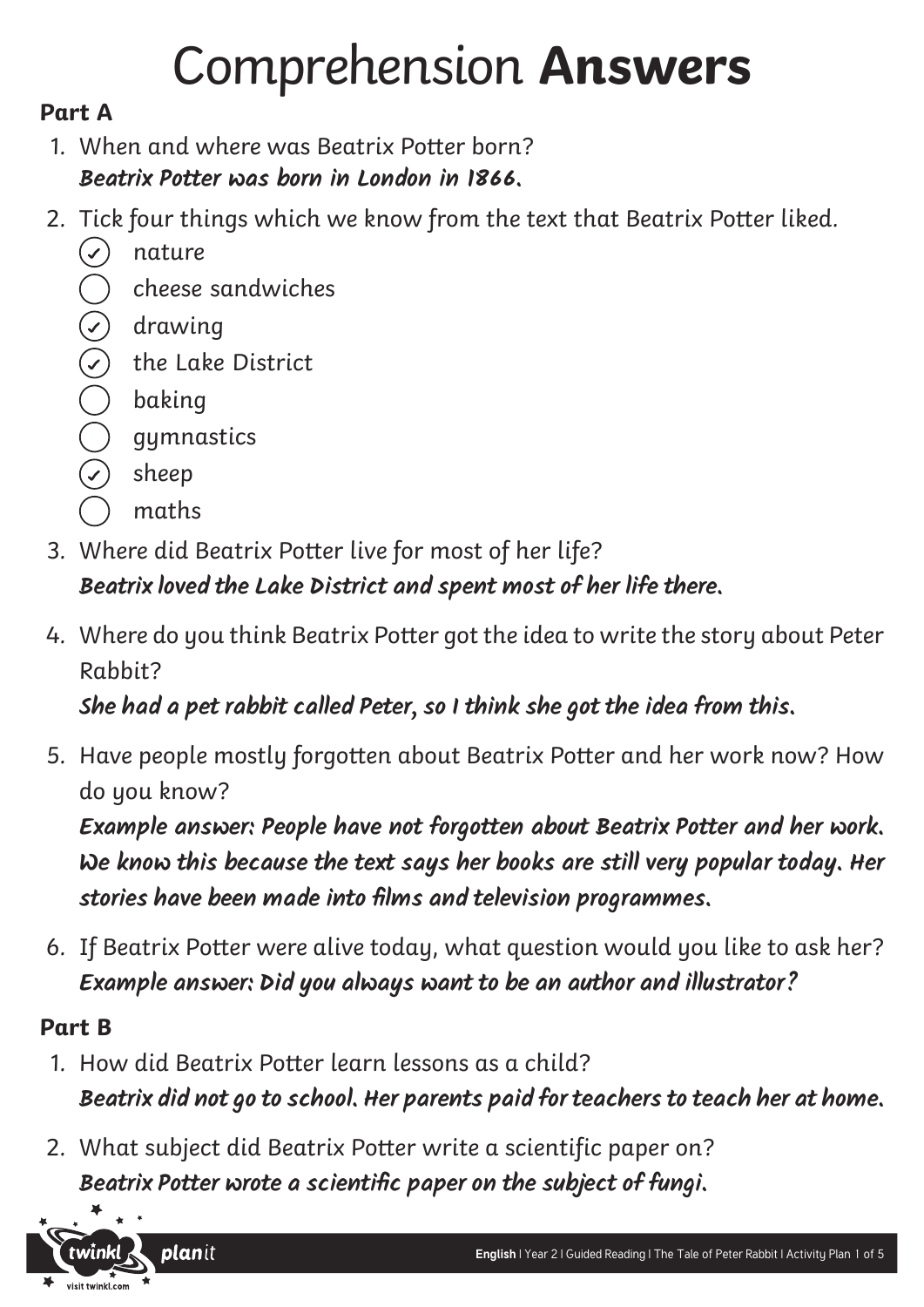## Comprehension **Answers**

### **Part A**

- 1. When and where was Beatrix Potter born? **Beatrix Potter was born in London in 1866.**
- 2. Tick four things which we know from the text that Beatrix Potter liked.
	- $(\checkmark)$  nature
	- cheese sandwiches
	- $\bigcirc$ drawing
	- the Lake District
	- baking
	- gymnastics
	- sheep
	- maths
- 3. Where did Beatrix Potter live for most of her life?

### **Beatrix loved the Lake District and spent most of her life there.**

4. Where do you think Beatrix Potter got the idea to write the story about Peter Rabbit?

**She had a pet rabbit called Peter, so I think she got the idea from this.**

5. Have people mostly forgotten about Beatrix Potter and her work now? How do you know?

**Example answer: People have not forgotten about Beatrix Potter and her work. We know this because the text says her books are still very popular today. Her stories have been made into films and television programmes.** 

6. If Beatrix Potter were alive today, what question would you like to ask her? **Example answer: Did you always want to be an author and illustrator?** 

#### **Part B**

- 1. How did Beatrix Potter learn lessons as a child? **Beatrix did not go to school. Her parents paid for teachers to teach her at home.**
- 2. What subject did Beatrix Potter write a scientific paper on? **Beatrix Potter wrote a scientific paper on the subject of fungi.**